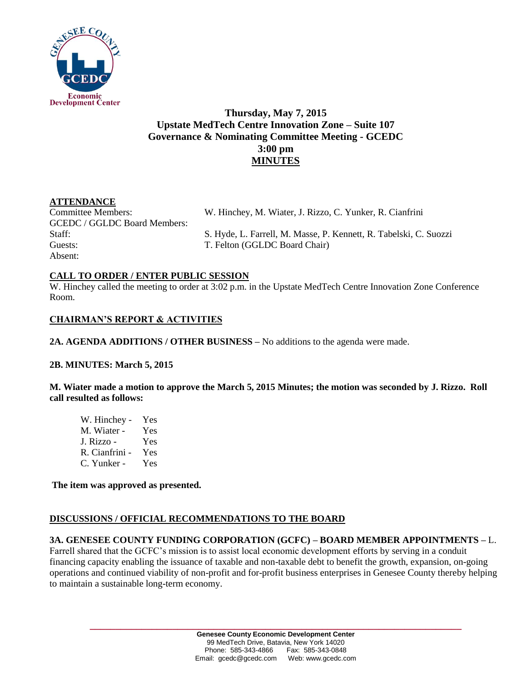

# **Thursday, May 7, 2015 Upstate MedTech Centre Innovation Zone – Suite 107 Governance & Nominating Committee Meeting - GCEDC 3:00 pm MINUTES**

### **ATTENDANCE**

Committee Members: W. Hinchey, M. Wiater, J. Rizzo, C. Yunker, R. Cianfrini GCEDC / GGLDC Board Members: Guests: T. Felton (GGLDC Board Chair) Absent:

Staff: S. Hyde, L. Farrell, M. Masse, P. Kennett, R. Tabelski, C. Suozzi

### **CALL TO ORDER / ENTER PUBLIC SESSION**

W. Hinchey called the meeting to order at 3:02 p.m. in the Upstate MedTech Centre Innovation Zone Conference Room.

## **CHAIRMAN'S REPORT & ACTIVITIES**

**2A. AGENDA ADDITIONS / OTHER BUSINESS –** No additions to the agenda were made.

### **2B. MINUTES: March 5, 2015**

**M. Wiater made a motion to approve the March 5, 2015 Minutes; the motion was seconded by J. Rizzo. Roll call resulted as follows:**

| W. Hinchey -   | Yes |
|----------------|-----|
| M. Wiater -    | Yes |
| J. Rizzo -     | Yes |
| R. Cianfrini - | Yes |
| C. Yunker -    | Yes |

**The item was approved as presented.** 

### **DISCUSSIONS / OFFICIAL RECOMMENDATIONS TO THE BOARD**

### **3A. GENESEE COUNTY FUNDING CORPORATION (GCFC) – BOARD MEMBER APPOINTMENTS –** L.

Farrell shared that the GCFC's mission is to assist local economic development efforts by serving in a conduit financing capacity enabling the issuance of taxable and non-taxable debt to benefit the growth, expansion, on-going operations and continued viability of non-profit and for-profit business enterprises in Genesee County thereby helping to maintain a sustainable long-term economy.

**\_\_\_\_\_\_\_\_\_\_\_\_\_\_\_\_\_\_\_\_\_\_\_\_\_\_\_\_\_\_\_\_\_\_\_\_\_\_\_\_\_\_\_\_\_\_\_\_\_\_\_\_\_\_\_\_\_\_\_\_\_\_\_\_\_\_\_\_\_\_\_\_**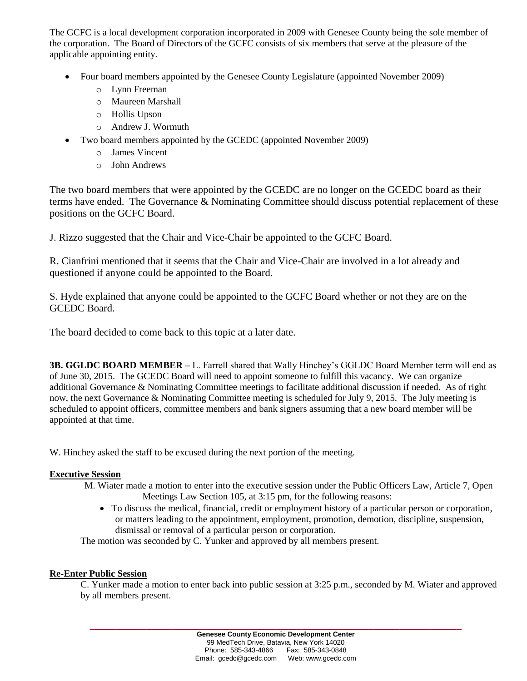The GCFC is a local development corporation incorporated in 2009 with Genesee County being the sole member of the corporation. The Board of Directors of the GCFC consists of six members that serve at the pleasure of the applicable appointing entity.

- Four board members appointed by the Genesee County Legislature (appointed November 2009)
	- o Lynn Freeman
	- o Maureen Marshall
	- o Hollis Upson
	- o Andrew J. Wormuth
- Two board members appointed by the GCEDC (appointed November 2009)
	- o James Vincent
	- o John Andrews

The two board members that were appointed by the GCEDC are no longer on the GCEDC board as their terms have ended. The Governance & Nominating Committee should discuss potential replacement of these positions on the GCFC Board.

J. Rizzo suggested that the Chair and Vice-Chair be appointed to the GCFC Board.

R. Cianfrini mentioned that it seems that the Chair and Vice-Chair are involved in a lot already and questioned if anyone could be appointed to the Board.

S. Hyde explained that anyone could be appointed to the GCFC Board whether or not they are on the GCEDC Board.

The board decided to come back to this topic at a later date.

**3B. GGLDC BOARD MEMBER –** L. Farrell shared that Wally Hinchey's GGLDC Board Member term will end as of June 30, 2015. The GCEDC Board will need to appoint someone to fulfill this vacancy. We can organize additional Governance & Nominating Committee meetings to facilitate additional discussion if needed. As of right now, the next Governance & Nominating Committee meeting is scheduled for July 9, 2015. The July meeting is scheduled to appoint officers, committee members and bank signers assuming that a new board member will be appointed at that time.

W. Hinchey asked the staff to be excused during the next portion of the meeting.

#### **Executive Session**

- M. Wiater made a motion to enter into the executive session under the Public Officers Law, Article 7, Open Meetings Law Section 105, at 3:15 pm, for the following reasons:
	- To discuss the medical, financial, credit or employment history of a particular person or corporation, or matters leading to the appointment, employment, promotion, demotion, discipline, suspension, dismissal or removal of a particular person or corporation.

The motion was seconded by C. Yunker and approved by all members present.

#### **Re-Enter Public Session**

C. Yunker made a motion to enter back into public session at 3:25 p.m., seconded by M. Wiater and approved by all members present.

**\_\_\_\_\_\_\_\_\_\_\_\_\_\_\_\_\_\_\_\_\_\_\_\_\_\_\_\_\_\_\_\_\_\_\_\_\_\_\_\_\_\_\_\_\_\_\_\_\_\_\_\_\_\_\_\_\_\_\_\_\_\_\_\_\_\_\_\_\_\_\_\_**